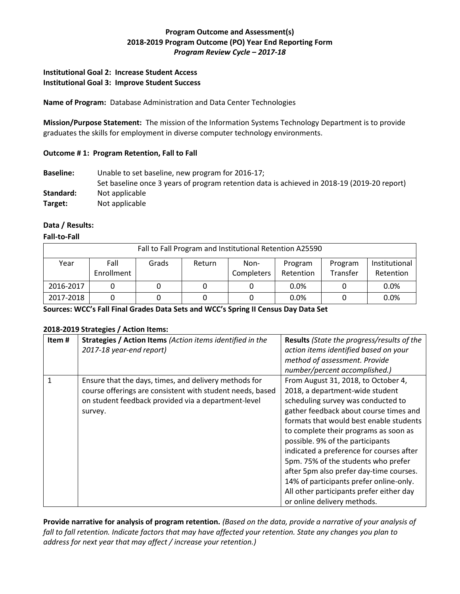# **Program Outcome and Assessment(s) 2018-2019 Program Outcome (PO) Year End Reporting Form** *Program Review Cycle – 2017-18*

## **Institutional Goal 2: Increase Student Access Institutional Goal 3: Improve Student Success**

**Name of Program:** Database Administration and Data Center Technologies

**Mission/Purpose Statement:** The mission of the Information Systems Technology Department is to provide graduates the skills for employment in diverse computer technology environments.

## **Outcome # 1: Program Retention, Fall to Fall**

**Baseline:** Unable to set baseline, new program for 2016-17; Set baseline once 3 years of program retention data is achieved in 2018-19 (2019-20 report) Standard: Not applicable **Target:** Not applicable

## **Data / Results:**

#### **Fall-to-Fall**

| Fall to Fall Program and Institutional Retention A25590 |                    |       |        |                    |                      |                     |                            |  |  |
|---------------------------------------------------------|--------------------|-------|--------|--------------------|----------------------|---------------------|----------------------------|--|--|
| Year                                                    | Fall<br>Enrollment | Grads | Return | Non-<br>Completers | Program<br>Retention | Program<br>Transfer | Institutional<br>Retention |  |  |
| 2016-2017                                               |                    |       |        |                    | 0.0%                 |                     | 0.0%                       |  |  |
| 2017-2018                                               |                    |       |        |                    | 0.0%                 |                     | 0.0%                       |  |  |

**Sources: WCC's Fall Final Grades Data Sets and WCC's Spring II Census Day Data Set** 

#### **2018-2019 Strategies / Action Items:**

| Item# | <b>Strategies / Action Items</b> (Action items identified in the<br>2017-18 year-end report)                                                                                         | <b>Results</b> (State the progress/results of the<br>action items identified based on your<br>method of assessment. Provide<br>number/percent accomplished.)                                                                                                                                                                                                                                                                                                                                                                       |
|-------|--------------------------------------------------------------------------------------------------------------------------------------------------------------------------------------|------------------------------------------------------------------------------------------------------------------------------------------------------------------------------------------------------------------------------------------------------------------------------------------------------------------------------------------------------------------------------------------------------------------------------------------------------------------------------------------------------------------------------------|
| 1     | Ensure that the days, times, and delivery methods for<br>course offerings are consistent with student needs, based<br>on student feedback provided via a department-level<br>survey. | From August 31, 2018, to October 4,<br>2018, a department-wide student<br>scheduling survey was conducted to<br>gather feedback about course times and<br>formats that would best enable students<br>to complete their programs as soon as<br>possible. 9% of the participants<br>indicated a preference for courses after<br>5pm. 75% of the students who prefer<br>after 5pm also prefer day-time courses.<br>14% of participants prefer online-only.<br>All other participants prefer either day<br>or online delivery methods. |

**Provide narrative for analysis of program retention.** *(Based on the data, provide a narrative of your analysis of fall to fall retention. Indicate factors that may have affected your retention. State any changes you plan to address for next year that may affect / increase your retention.)*